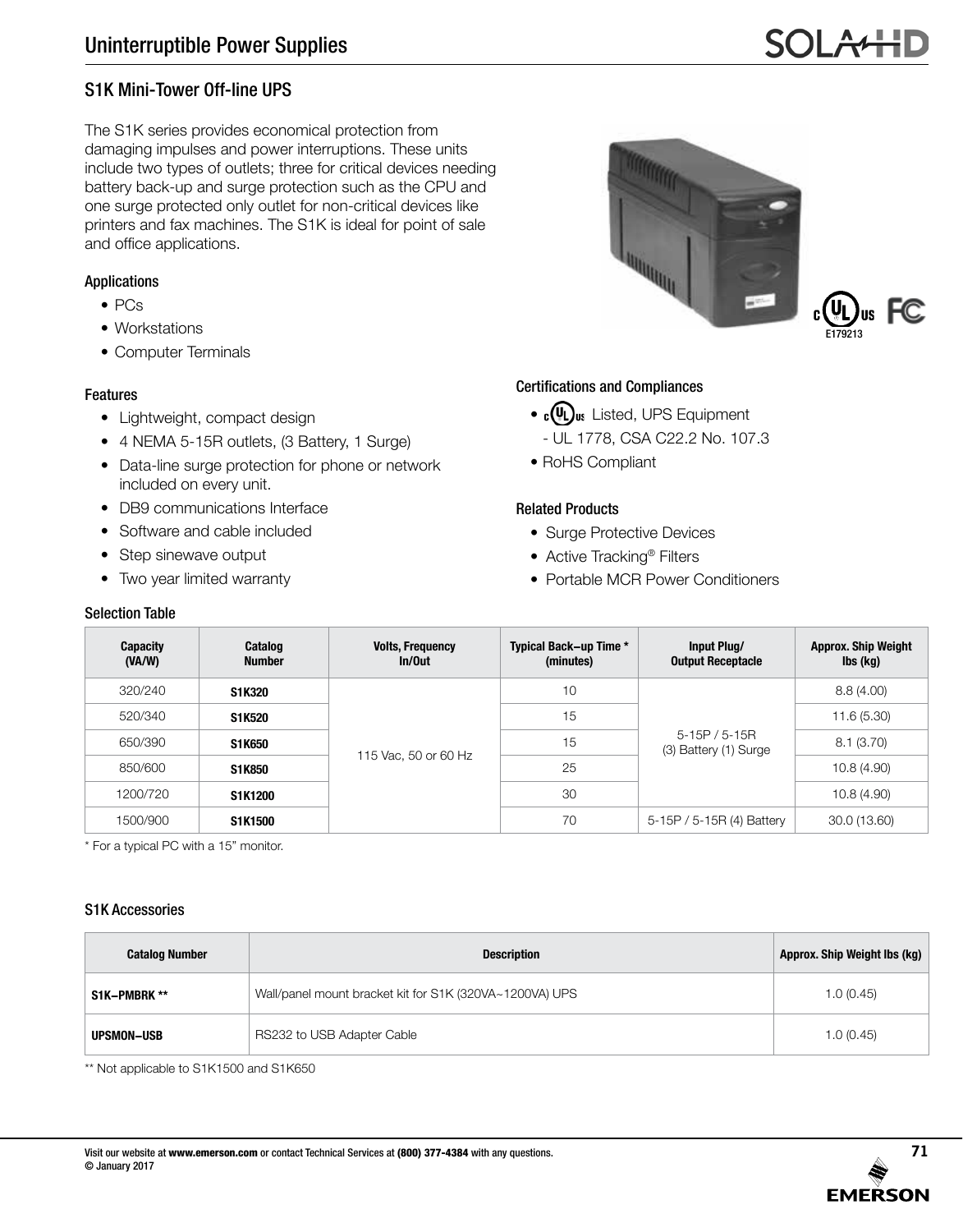# S1K Mini-Tower Off-line UPS

The S1K series provides economical protection from damaging impulses and power interruptions. These units include two types of outlets; three for critical devices needing battery back-up and surge protection such as the CPU and one surge protected only outlet for non-critical devices like printers and fax machines. The S1K is ideal for point of sale and office applications.

# Applications

- PCs
- Workstations
- Computer Terminals

# Features

- Lightweight, compact design
- 4 NEMA 5-15R outlets, (3 Battery, 1 Surge)
- Data-line surge protection for phone or network included on every unit.
- DB9 communications Interface
- Software and cable included
- Step sinewave output
- Two year limited warranty

#### Selection Table





### Certifications and Compliances

- $\cdot$   $\epsilon$ (U)<sub>us</sub> Listed, UPS Equipment
	- UL 1778, CSA C22.2 No. 107.3
- RoHS Compliant

### Related Products

- Surge Protective Devices
- Active Tracking® Filters
- Portable MCR Power Conditioners

| <b>Capacity</b><br>(VA/W) | Catalog<br><b>Number</b> | <b>Volts, Frequency</b><br>In/Out | Typical Back-up Time *<br>(minutes) | Input Plug/<br><b>Output Receptacle</b> | <b>Approx. Ship Weight</b><br>$\mathsf{lbs}(\mathsf{kg})$ |
|---------------------------|--------------------------|-----------------------------------|-------------------------------------|-----------------------------------------|-----------------------------------------------------------|
| 320/240                   | S1K320                   | 115 Vac, 50 or 60 Hz              | 10                                  |                                         | 8.8(4.00)                                                 |
| 520/340                   | S1K520                   |                                   | 15                                  | $5-15P/5-15R$<br>(3) Battery (1) Surge  | 11.6(5.30)                                                |
| 650/390                   | S1K650                   |                                   | 15                                  |                                         | 8.1(3.70)                                                 |
| 850/600                   | S1K850                   |                                   | 25                                  |                                         | 10.8(4.90)                                                |
| 1200/720                  | S1K1200                  |                                   | 30                                  |                                         | 10.8(4.90)                                                |
| 1500/900                  | S1K1500                  |                                   | 70                                  | 5-15P / 5-15R (4) Battery               | 30.0 (13.60)                                              |

\* For a typical PC with a 15" monitor.

#### S1K Accessories

| <b>Catalog Number</b> | <b>Description</b>                                      | Approx. Ship Weight Ibs (kg) |
|-----------------------|---------------------------------------------------------|------------------------------|
| S1K-PMBRK **          | Wall/panel mount bracket kit for S1K (320VA~1200VA) UPS | 1.0(0.45)                    |
| UPSMON-USB            | RS232 to USB Adapter Cable                              | 1.0(0.45)                    |

\*\* Not applicable to S1K1500 and S1K650